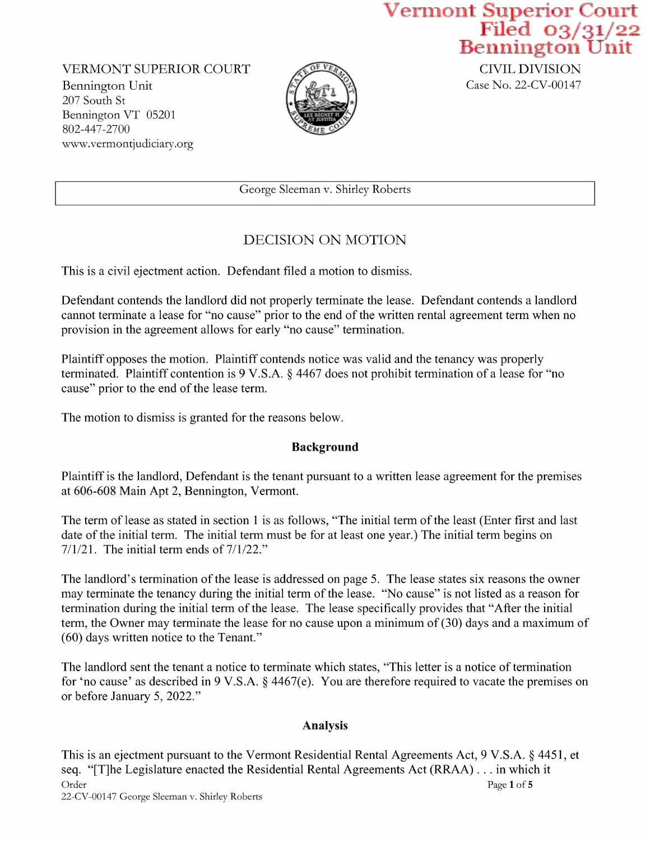Vermont Superior Court<br>Filed 03/31/22<br>Bennington Unit<br>CIVIL DIVISION

VERMONT SUPERIOR COURT<br>
Bennington Unit Case No. 22-CV-00147 Bennington Unit 207 South St Bennington VT <sup>05201</sup> 802-447-2700 WWW.Vermontjudiciary.org



George Sleernan v. Shirley Roberts

## DECISION ON MOTION

This is a civil ejectment action. Defendant filed a motion to dismiss.

Defendant contends the landlord did not properly terminate the lease. Defendant contends a landlord cannot terminate a lease for "no cause" prior to the end of the written rental agreement term when no provision in the agreement allows for early "no cause" termination.

Plaintiff opposes the motion. Plaintiff contends notice was valid and the tenancy was properly terminated. Plaintiff contention is 9 V.S.A. § 4467 does not prohibit termination of a lease for "no cause" prior to the end of the lease term.

The motion to dismiss is granted for the reasons below.

## Background

Plaintiff is the landlord, Defendant is the tenant pursuant to a written lease agreement for the premises at 606-608 Main Apt 2, Bennington, Vermont.

The term of lease as stated in section 1 is as follows, "The initial term of the least (Enter first and last date of the initial term. The initial term must be for at least one year.) The initial term begins on  $7/1/21$ . The initial term ends of  $7/1/22$ ."

The landlord's termination of the lease is addressed on page 5. The lease states six reasons the owner may terminate the tenancy during the initial term of the lease. "No cause" is not listed as a reason for termination during the initial term of the lease. The lease specifically provides that "After the initial term, the Owner may terminate the lease for no cause upon a minimum of  $(30)$  days and a maximum of (60) days written notice to the Tenant."

The landlord sent the tenant a notice to terminate which states, "This letter is a notice of termination for 'no cause' as described in V.S.A. 4467(e). You are therefore required to vacate the premises on or before January 5, 2022."

## Analysis

This is an ejectment pursuant to the Vermont Residential Rental Agreements Act, 9 V.S.A. § 4451, et seq. "[T]he Legislature enacted the Residential Rental Agreements Act (RRAA) . . . in which it  $\angle$  Page 1 of 5 22—CV—00147 George Sleernan v.Shirley Roberts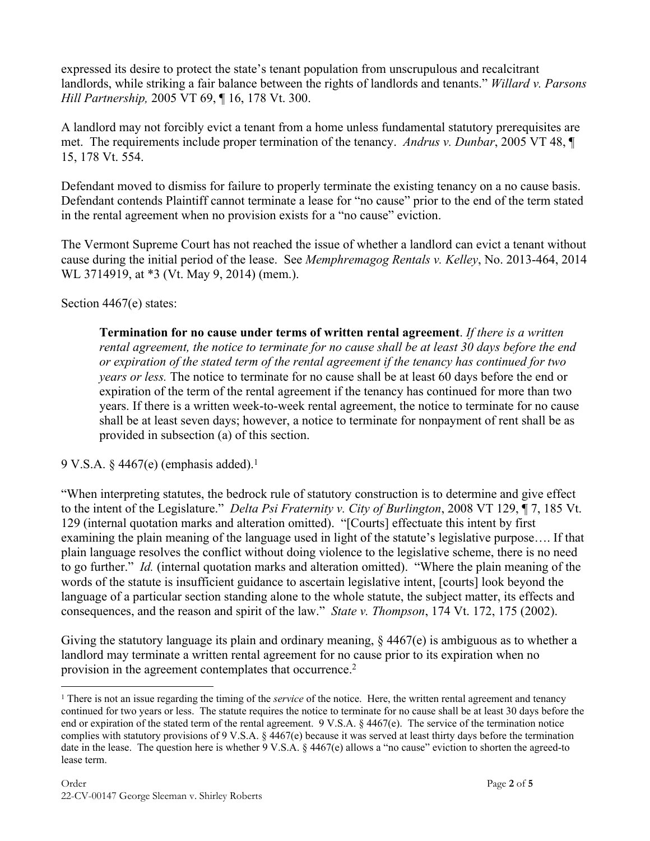expressed its desire to protect the state's tenant population from unscrupulous and recalcitrant landlords, while striking a fair balance between the rights of landlords and tenants." *Willard v. Parsons Hill Partnership,* 2005 VT 69, ¶ 16, 178 Vt. 300.

A landlord may not forcibly evict a tenant from a home unless fundamental statutory prerequisites are met. The requirements include proper termination of the tenancy. *Andrus v. Dunbar*, 2005 VT 48, ¶ 15, 178 Vt. 554.

Defendant moved to dismiss for failure to properly terminate the existing tenancy on a no cause basis. Defendant contends Plaintiff cannot terminate a lease for "no cause" prior to the end of the term stated in the rental agreement when no provision exists for a "no cause" eviction.

The Vermont Supreme Court has not reached the issue of whether a landlord can evict a tenant without cause during the initial period of the lease. See *Memphremagog Rentals v. Kelley*, No. 2013-464, 2014 WL 3714919, at \*3 (Vt. May 9, 2014) (mem.).

Section 4467(e) states:

**Termination for no cause under terms of written rental agreement**. *If there is a written rental agreement, the notice to terminate for no cause shall be at least 30 days before the end or expiration of the stated term of the rental agreement if the tenancy has continued for two years or less.* The notice to terminate for no cause shall be at least 60 days before the end or expiration of the term of the rental agreement if the tenancy has continued for more than two years. If there is a written week-to-week rental agreement, the notice to terminate for no cause shall be at least seven days; however, a notice to terminate for nonpayment of rent shall be as provided in subsection (a) of this section.

9 V.S.A.  $\S$  4467(e) (emphasis added).<sup>1</sup>

"When interpreting statutes, the bedrock rule of statutory construction is to determine and give effect to the intent of the Legislature." *Delta Psi Fraternity v. City of Burlington*, 2008 VT 129, ¶ 7, 185 Vt. 129 (internal quotation marks and alteration omitted). "[Courts] effectuate this intent by first examining the plain meaning of the language used in light of the statute's legislative purpose…. If that plain language resolves the conflict without doing violence to the legislative scheme, there is no need to go further." *Id.* (internal quotation marks and alteration omitted). "Where the plain meaning of the words of the statute is insufficient guidance to ascertain legislative intent, [courts] look beyond the language of a particular section standing alone to the whole statute, the subject matter, its effects and consequences, and the reason and spirit of the law." *State v. Thompson*, 174 Vt. 172, 175 (2002).

Giving the statutory language its plain and ordinary meaning,  $\S$  4467(e) is ambiguous as to whether a landlord may terminate a written rental agreement for no cause prior to its expiration when no provision in the agreement contemplates that occurrence.<sup>2</sup>

<sup>&</sup>lt;sup>1</sup> There is not an issue regarding the timing of the *service* of the notice. Here, the written rental agreement and tenancy continued for two years or less. The statute requires the notice to terminate for no cause shall be at least 30 days before the end or expiration of the stated term of the rental agreement. 9 V.S.A. § 4467(e). The service of the termination notice complies with statutory provisions of 9 V.S.A. § 4467(e) because it was served at least thirty days before the termination date in the lease. The question here is whether 9 V.S.A. § 4467(e) allows a "no cause" eviction to shorten the agreed-to lease term.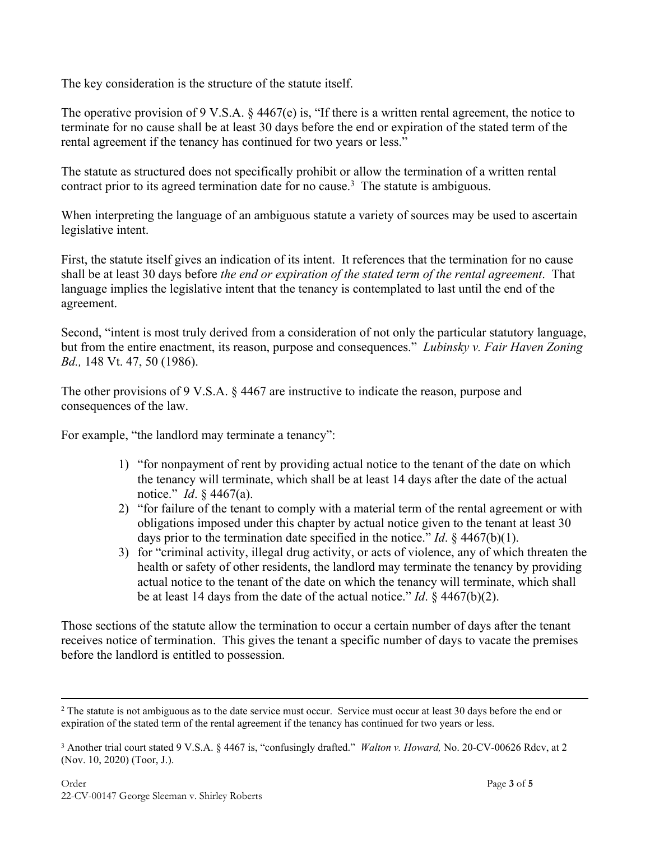The key consideration is the structure of the statute itself.

The operative provision of 9 V.S.A.  $\S$  4467(e) is, "If there is a written rental agreement, the notice to terminate for no cause shall be at least 30 days before the end or expiration of the stated term of the rental agreement if the tenancy has continued for two years or less."

The statute as structured does not specifically prohibit or allow the termination of a written rental contract prior to its agreed termination date for no cause.<sup>3</sup> The statute is ambiguous.

When interpreting the language of an ambiguous statute a variety of sources may be used to ascertain legislative intent.

First, the statute itself gives an indication of its intent. It references that the termination for no cause shall be at least 30 days before *the end or expiration of the stated term of the rental agreement*. That language implies the legislative intent that the tenancy is contemplated to last until the end of the agreement.

Second, "intent is most truly derived from a consideration of not only the particular statutory language, but from the entire enactment, its reason, purpose and consequences." *Lubinsky v. Fair Haven Zoning Bd.,* 148 Vt. 47, 50 (1986).

The other provisions of 9 V.S.A. § 4467 are instructive to indicate the reason, purpose and consequences of the law.

For example, "the landlord may terminate a tenancy":

- 1) "for nonpayment of rent by providing actual notice to the tenant of the date on which the tenancy will terminate, which shall be at least 14 days after the date of the actual notice." *Id*. § 4467(a).
- 2) "for failure of the tenant to comply with a material term of the rental agreement or with obligations imposed under this chapter by actual notice given to the tenant at least 30 days prior to the termination date specified in the notice." *Id*. § 4467(b)(1).
- 3) for "criminal activity, illegal drug activity, or acts of violence, any of which threaten the health or safety of other residents, the landlord may terminate the tenancy by providing actual notice to the tenant of the date on which the tenancy will terminate, which shall be at least 14 days from the date of the actual notice." *Id*. § 4467(b)(2).

Those sections of the statute allow the termination to occur a certain number of days after the tenant receives notice of termination. This gives the tenant a specific number of days to vacate the premises before the landlord is entitled to possession.

 $2$  The statute is not ambiguous as to the date service must occur. Service must occur at least 30 days before the end or expiration of the stated term of the rental agreement if the tenancy has continued for two years or less.

<sup>3</sup> Another trial court stated 9 V.S.A. § 4467 is, "confusingly drafted." *Walton v. Howard,* No. 20-CV-00626 Rdcv, at 2 (Nov. 10, 2020) (Toor, J.).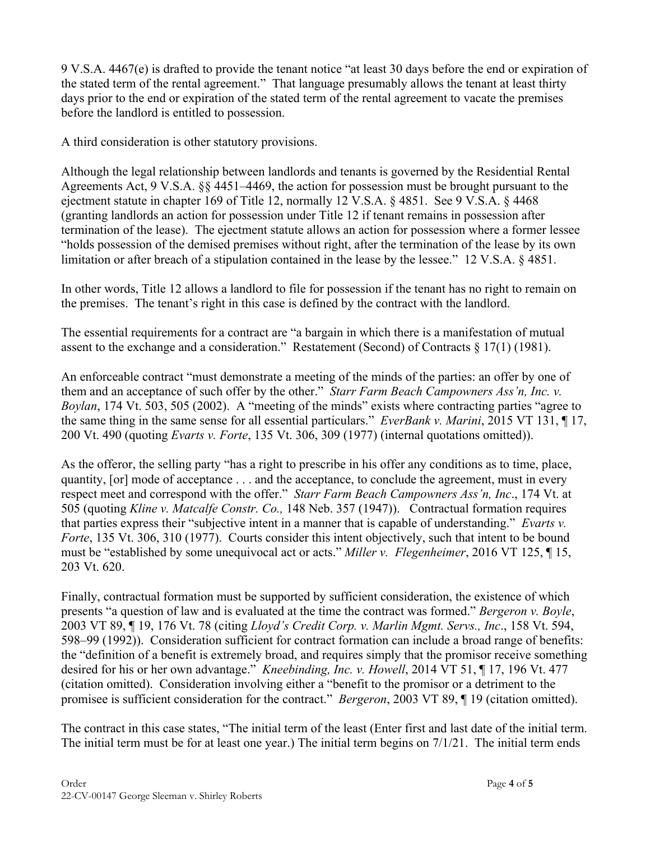9 V.S.A. 4467(e) is drafted to provide the tenant notice "at least 30 days before the end or expiration of the stated term of the rental agreement." That language presumably allows the tenant at least thirty days prior to the end or expiration of the stated term of the rental agreement to vacate the premises before the landlord is entitled to possession.

A third consideration is other statutory provisions.

Although the legal relationship between landlords and tenants is governed by the Residential Rental Agreements Act, 9 V.S.A. §§ 4451–4469, the action for possession must be brought pursuant to the ejectment statute in chapter 169 of Title 12, normally 12 V.S.A. § 4851. See 9 V.S.A. § 4468 (granting landlords an action for possession under Title 12 if tenant remains in possession after termination of the lease). The ejectment statute allows an action for possession where a former lessee "holds possession of the demised premises without right, after the termination of the lease by its own limitation or after breach of a stipulation contained in the lease by the lessee." 12 V.S.A. § 4851.

In other words, Title 12 allows a landlord to file for possession if the tenant has no right to remain on the premises. The tenant's right in this case is defined by the contract with the landlord.

The essential requirements for a contract are "a bargain in which there is a manifestation of mutual assent to the exchange and a consideration." Restatement (Second) of Contracts § 17(1) (1981).

An enforceable contract "must demonstrate a meeting of the minds of the parties: an offer by one of them and an acceptance of such offer by the other." *Starr Farm Beach Campowners Ass'n, Inc. v. Boylan*, 174 Vt. 503, 505 (2002). A "meeting of the minds" exists where contracting parties "agree to the same thing in the same sense for all essential particulars." *EverBank v. Marini*, 2015 VT 131, ¶ 17, 200 Vt. 490 (quoting *Evarts v. Forte*, 135 Vt. 306, 309 (1977) (internal quotations omitted)).

As the offeror, the selling party "has a right to prescribe in his offer any conditions as to time, place, quantity, [or] mode of acceptance . . . and the acceptance, to conclude the agreement, must in every respect meet and correspond with the offer." *Starr Farm Beach Campowners Ass'n, Inc*., 174 Vt. at 505 (quoting *Kline v. Matcalfe Constr. Co.,* 148 Neb. 357 (1947)). Contractual formation requires that parties express their "subjective intent in a manner that is capable of understanding." *Evarts v. Forte*, 135 Vt. 306, 310 (1977). Courts consider this intent objectively, such that intent to be bound must be "established by some unequivocal act or acts." *Miller v. Flegenheimer*, 2016 VT 125, ¶ 15, 203 Vt. 620.

Finally, contractual formation must be supported by sufficient consideration, the existence of which presents "a question of law and is evaluated at the time the contract was formed." *Bergeron v. Boyle*, 2003 VT 89, ¶ 19, 176 Vt. 78 (citing *Lloyd's Credit Corp. v. Marlin Mgmt. Servs., Inc*., 158 Vt. 594, 598–99 (1992)). Consideration sufficient for contract formation can include a broad range of benefits: the "definition of a benefit is extremely broad, and requires simply that the promisor receive something desired for his or her own advantage." *Kneebinding, Inc. v. Howell*, 2014 VT 51, ¶ 17, 196 Vt. 477 (citation omitted). Consideration involving either a "benefit to the promisor or a detriment to the promisee is sufficient consideration for the contract." *Bergeron*, 2003 VT 89, ¶ 19 (citation omitted).

The contract in this case states, "The initial term of the least (Enter first and last date of the initial term. The initial term must be for at least one year.) The initial term begins on  $7/1/21$ . The initial term ends